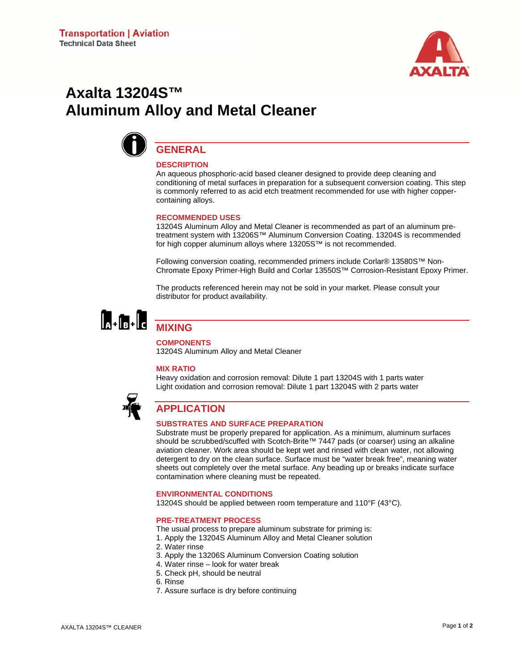

# **Axalta 13204S™ Aluminum Alloy and Metal Cleaner**



## **GENERAL DESCRIPTION**

An aqueous phosphoric-acid based cleaner designed to provide deep cleaning and conditioning of metal surfaces in preparation for a subsequent conversion coating. This step is commonly referred to as acid etch treatment recommended for use with higher coppercontaining alloys.

#### **RECOMMENDED USES**

13204S Aluminum Alloy and Metal Cleaner is recommended as part of an aluminum pretreatment system with 13206S™ Aluminum Conversion Coating. 13204S is recommended for high copper aluminum alloys where 13205S™ is not recommended.

Following conversion coating, recommended primers include Corlar® 13580S™ Non-Chromate Epoxy Primer-High Build and Corlar 13550S™ Corrosion-Resistant Epoxy Primer.

The products referenced herein may not be sold in your market. Please consult your distributor for product availability.



# **COMPONENTS**

13204S Aluminum Alloy and Metal Cleaner

#### **MIX RATIO**

Heavy oxidation and corrosion removal: Dilute 1 part 13204S with 1 parts water Light oxidation and corrosion removal: Dilute 1 part 13204S with 2 parts water



# **APPLICATION**

#### **SUBSTRATES AND SURFACE PREPARATION**

Substrate must be properly prepared for application. As a minimum, aluminum surfaces should be scrubbed/scuffed with Scotch-Brite™ 7447 pads (or coarser) using an alkaline aviation cleaner. Work area should be kept wet and rinsed with clean water, not allowing detergent to dry on the clean surface. Surface must be "water break free", meaning water sheets out completely over the metal surface. Any beading up or breaks indicate surface contamination where cleaning must be repeated.

#### **ENVIRONMENTAL CONDITIONS**

13204S should be applied between room temperature and 110°F (43°C).

#### **PRE-TREATMENT PROCESS**

- The usual process to prepare aluminum substrate for priming is:
- 1. Apply the 13204S Aluminum Alloy and Metal Cleaner solution
- 2. Water rinse
- 3. Apply the 13206S Aluminum Conversion Coating solution
- 4. Water rinse look for water break
- 5. Check pH, should be neutral
- 6. Rinse
- 7. Assure surface is dry before continuing